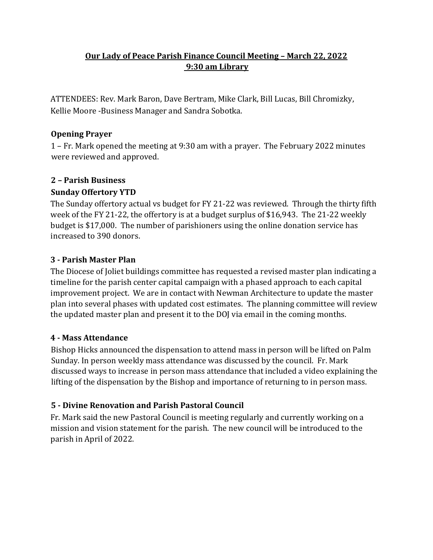# **Our Lady of Peace Parish Finance Council Meeting – March 22, 2022 9:30 am Library**

ATTENDEES: Rev. Mark Baron, Dave Bertram, Mike Clark, Bill Lucas, Bill Chromizky, Kellie Moore -Business Manager and Sandra Sobotka.

## **Opening Prayer**

1 – Fr. Mark opened the meeting at 9:30 am with a prayer. The February 2022 minutes were reviewed and approved.

## **2 – Parish Business**

### **Sunday Offertory YTD**

The Sunday offertory actual vs budget for FY 21-22 was reviewed. Through the thirty fifth week of the FY 21-22, the offertory is at a budget surplus of \$16,943. The 21-22 weekly budget is \$17,000. The number of parishioners using the online donation service has increased to 390 donors.

### **3 - Parish Master Plan**

The Diocese of Joliet buildings committee has requested a revised master plan indicating a timeline for the parish center capital campaign with a phased approach to each capital improvement project. We are in contact with Newman Architecture to update the master plan into several phases with updated cost estimates. The planning committee will review the updated master plan and present it to the DOJ via email in the coming months.

#### **4 - Mass Attendance**

Bishop Hicks announced the dispensation to attend mass in person will be lifted on Palm Sunday. In person weekly mass attendance was discussed by the council. Fr. Mark discussed ways to increase in person mass attendance that included a video explaining the lifting of the dispensation by the Bishop and importance of returning to in person mass.

## **5 - Divine Renovation and Parish Pastoral Council**

Fr. Mark said the new Pastoral Council is meeting regularly and currently working on a mission and vision statement for the parish. The new council will be introduced to the parish in April of 2022.